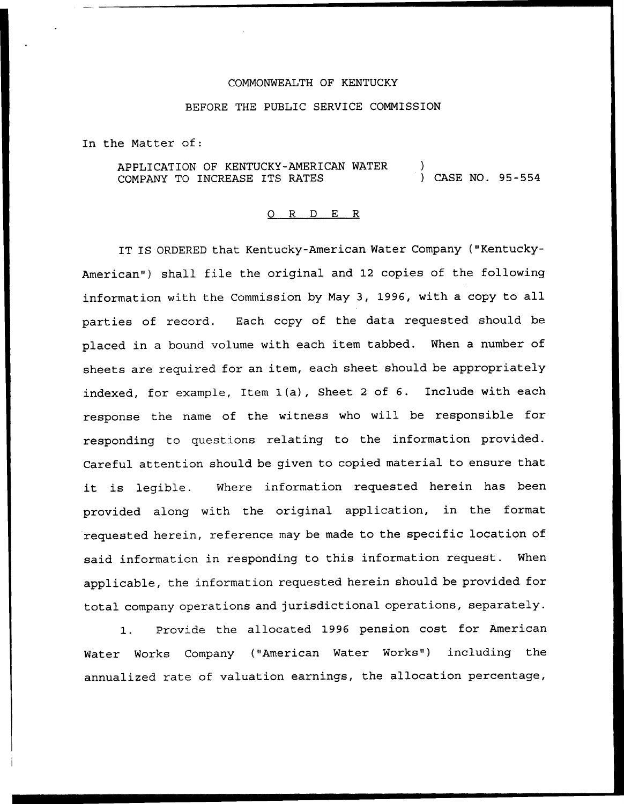## COMMONWEALTH OF KENTUCKY

## BEFORE THE PUBLIC SERVICE COMMISSION

In the Matter of:

APPLICATION OF KENTUCKY-AMERICAN WATER COMPANY TO INCREASE ITS RATES ) ) CASE NO. 95-554

## 0 R <sup>D</sup> E R

IT IS ORDERED that Kentucky-American Water Company ("Kentucky-American") shall file the original and 12 copies of the following information with the Commission by May 3, 1996, with <sup>a</sup> copy to all parties of record. Each copy of the data requested should be placed in a bound volume with each item tabbed. When a number of sheets are required for an item, each sheet should be appropriately indexed, for example, Item 1(a), Sheet <sup>2</sup> of 6. Include with each response the name of the witness who will be responsible for responding to questions relating to the information provided. Careful attention should be given to copied material to ensure that it is legible. Where information requested herein has been provided along with the original application, in the format requested herein, reference may be made to the specific location of said information in responding to this information request. When applicable, the information requested herein should be provided for total company operations and jurisdictional operations, separately.

1. Provide the allocated 1996 pension cost for American Water Works Company ("American Water Works") including the annualized rate of valuation earnings, the allocation percentage,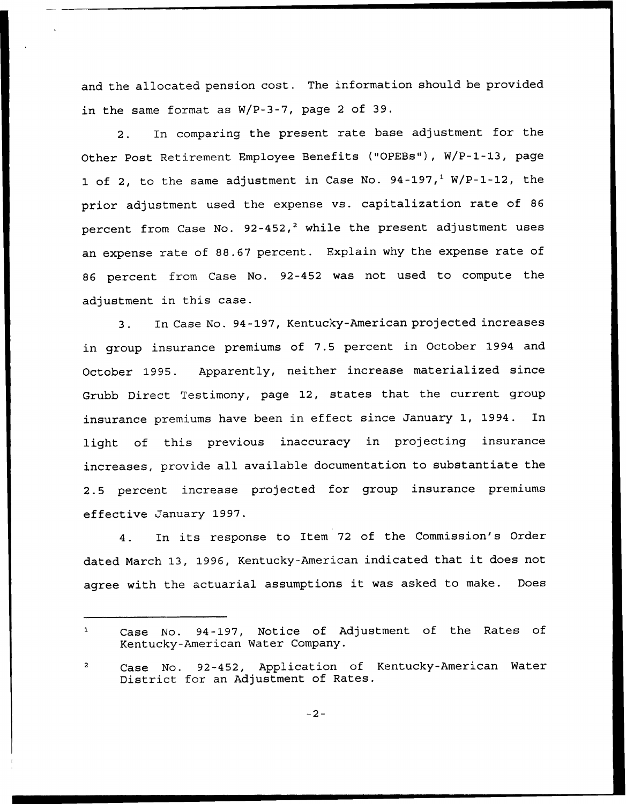and the allocated pension cost. The information should be provided in the same format as W/P-3-7, page <sup>2</sup> of 39.

2. In comparing the present rate base adjustment for the Other Post Retirement Employee Benefits ("OPEBs"), W/P-1-13, page 1 of 2, to the same adjustment in Case No.  $94-197,$ <sup>1</sup> W/P-1-12, the prior adjustment used the expense vs. capitalization rate of <sup>86</sup> percent from Case No.  $92-452$ ,<sup>2</sup> while the present adjustment uses an expense rate of 88.67 percent. Explain why the expense rate of 86 percent from Case No. 92-452 was not used to compute the adjustment in this case.

3. In Case No. 94-197, Kentucky-American projected increases in group insurance premiums of 7.5 percent in October 1994 and October 1995. Apparently, neither increase materialized since Grubb Direct Testimony, page 12, states that the current group insurance premiums have been in effect since January 1, 1994. In light of this previous inaccuracy in projecting insurance increases, provide all available documentation to substantiate the 2.5 percent increase projected for group insurance premiums effective January 1997.

4. In its response to Item <sup>72</sup> of the Commission's Order dated March 13, 1996, Kentucky-American indicated that it does not agree with the actuarial assumptions it was asked to make. Does

 $\mathbf{1}$ Case No. 94-197, Notice of Adjustment of the Rates of Kentucky-American Water Company.

Case No. 92-452, Application of Kentucky-American Water  $\overline{a}$ District for an Adjustment of Rates.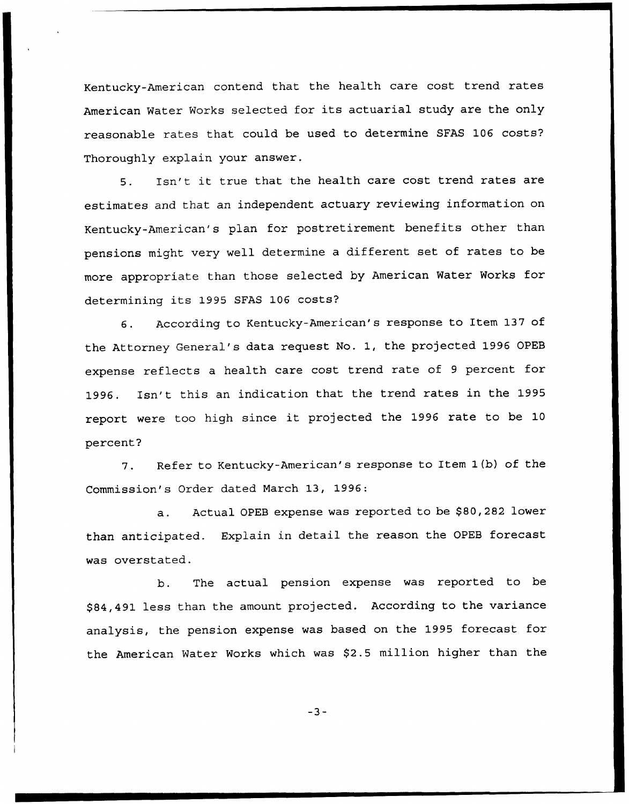Kentucky-American contend that the health care cost trend rates American Water Works selected for its actuarial study are the only reasonable rates that could be used to determine SFAS 106 costs? Thoroughly explain your answer.

5. Isn't it true that the health care cost trend rates are estimates and that an independent actuary reviewing information on Kentucky-American's plan for postretirement benefits other than pensions might very well determine a different set of rates to be more appropriate than those selected by American Water Works for determining its 1995 SFAS 106 costs'?

6. According to Kentucky-American's response to Item 137 of the Attorney General's data request No. 1, the projected 1996 OPEB expense reflects <sup>a</sup> health care cost trend rate of <sup>9</sup> percent for 1996. Isn't this an indication that the trend rates in the 1995 report were too high since it projected the <sup>1996</sup> rate to be <sup>10</sup> percent?

7. Refer to Kentucky-American's response to Item 1(b) of the Commission's Order dated March 13, 1996:

a. Actual OPEB expense was reported to be \$80,282 lower than anticipated. Explain in detail the reason the OPEB forecast was overstated.

b. The actual pension expense was reported to be \$ 84,491 less than the amount projected. According to the variance analysis, the pension expense was based on the 1995 forecast for the American Water Works which was \$2.5 million higher than the

 $-3-$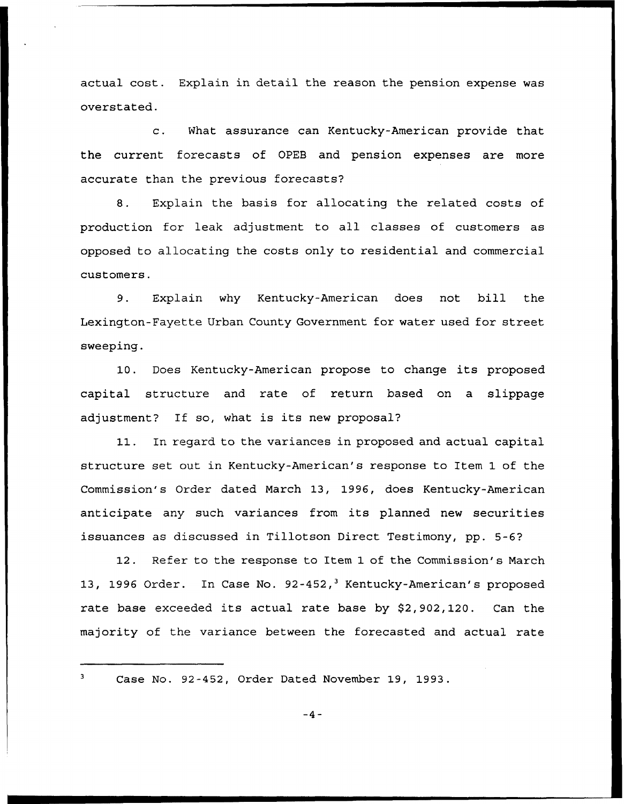actual cost. Explain in detail the reason the pension expense was overstated.

c. What assurance can Kentucky-American provide that the current forecasts of OPEB and pension expenses are more accurate than the previous forecasts?

8. Explain the basis for allocating the related costs of production for leak adjustment to all classes of customers as opposed to allocating the costs only to residential and commercial customers.

9. Explain why Kentucky-American does not bill the Lexington-Fayette Urban County Government for water used for street sweeping.

10. Does Kentucky-American propose to change its proposed capital structure and rate of return based on a slippage adjustment? If so, what is its new proposal?

11. In regard to the variances in proposed and actual capital structure set out in Kentucky-American's response to Item 1 of the Commission's Order dated March 13, 1996, does Kentucky-American anticipate any such variances from its planned new securities issuances as discussed in Tillotson Direct Testimony, pp. 5-6?

12. Refer to the response to Item 1 of the Commission's March 13, 1996 Order. In Case No. 92-452,<sup>3</sup> Kentucky-American's proposed rate base exceeded its actual rate base by \$2,902,120. Can the majority of the variance between the forecasted and actual rate

Case No. 92-452, Order Dated November 19, 1993.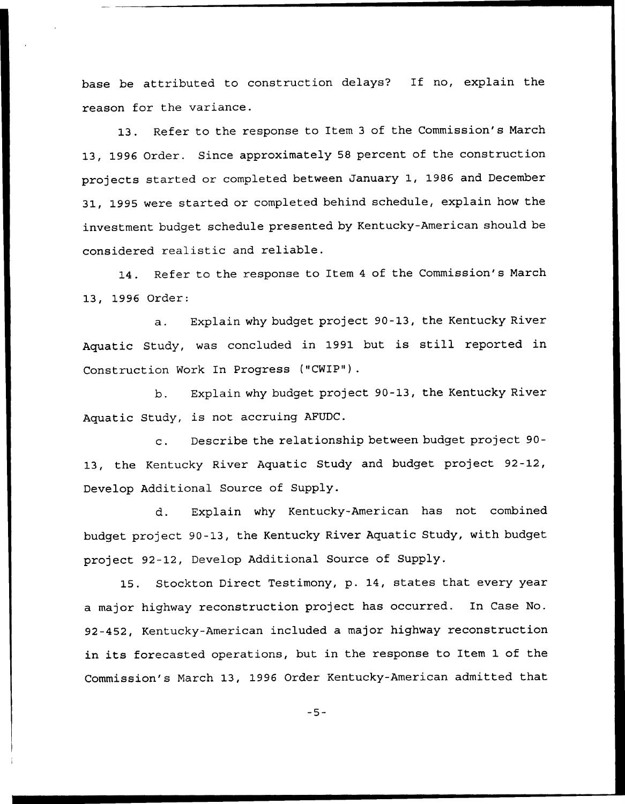base be attributed to construction delays? If no, explain the reason for the variance.

13. Refer to the response to Item <sup>3</sup> of the Commission's March 13, 1996 Order. Since approximately <sup>58</sup> percent of the construction projects started or completed between January 1, 1986 and December 31, 1995 were started or completed behind schedule, explain how the investment budget schedule presented by Kentucky-American should be considered realistic and reliable.

14. Refer to the response to Item <sup>4</sup> of the Commission's March 13, 1996 Order:

a. Explain why budget project 90-13, the Kentucky River Aquatic Study, was concluded in 1991 but is still reported in Construction Work In Progress ("CWIP").

b. Explain why budget project 90-13, the Kentucky River Aquatic Study, is not accruing AFUDC.

c. Describe the relationship between budget project 90- 13, the Kentucky River Aquatic Study and budget project 92-12, Develop Additional Source of Supply.

d. Explain why Kentucky-American has not combined budget project 90-13, the Kentucky River Aquatic Study, with budget project 92-12, Develop Additional Source of Supply.

15. Stockton Direct Testimony, p. 14, states that every year a major highway reconstruction project has occurred. In Case No. 92-452, Kentucky-American included a major highway reconstruction in its forecasted operations, but in the response to Item 1 of the Commission's March 13, 1996 Order Kentucky-American admitted that

 $-5-$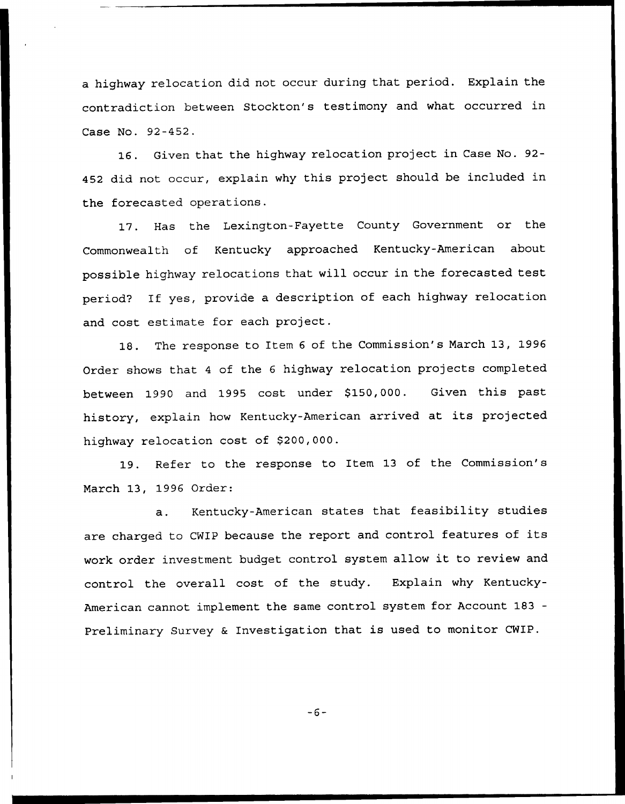a highway relocation did not occur during that period. Explain the contradiction between Stockton's testimony and what occurred in Case No. 92-452.

16. Given that the highway relocation project in Case No. 92- 452 did not occur, explain why this project should be included in the forecasted operations.

17. Has the Lexington-Fayette County Government or the Commonwealth of Kentucky approached Kentucky-American about possible highway relocations that will occur in the forecasted test period? If yes, provide a description of each highway relocation and cost estimate for each project.

18. The response to Item <sup>6</sup> of the Commission's March 13, 1996 Order shows that <sup>4</sup> of the <sup>6</sup> highway relocation projects completed between 1990 and 1995 cost under \$150,000. Given this past history, explain how Kentucky-American arrived at its projected highway relocation cost of \$200,000.

19. Refer to the response to Item 13 of the Commission's March 13, 1996 Order:

a. Kentucky-American states that feasibility studies are charged to CWIP because the report and control features of its work order investment budget control system allow it to review and control the overall cost of the study. Explain why Kentucky-American cannot implement the same control system for Account 183— Preliminary Survey & Investigation that is used to monitor CWIP.

 $-6-$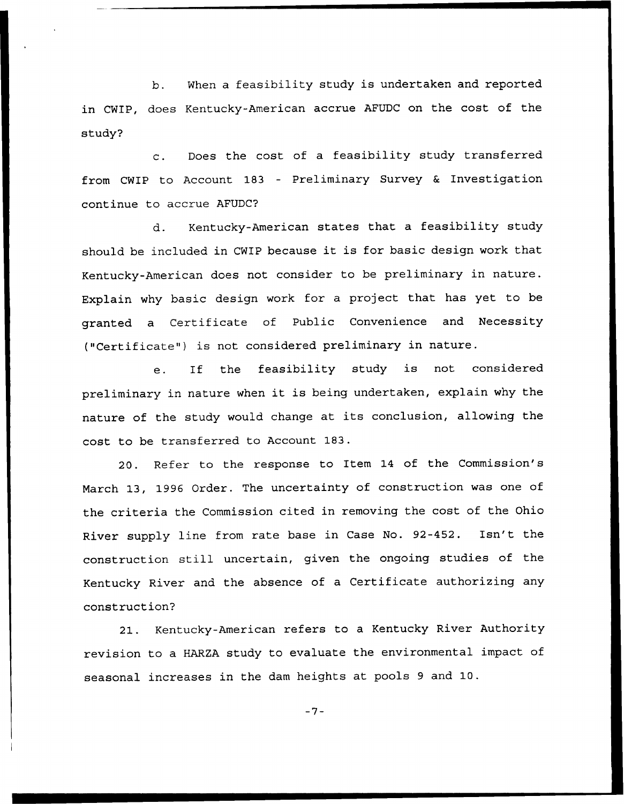b. When a feasibility study is undertaken and reported in CWIP, does Kentucky-American accrue AFUDC on the cost of the study?

c. Does the cost of <sup>a</sup> feasibility study transferred from CWIP to Account 183 — Preliminary Survey <sup>6</sup> Investigation continue to accrue AFUDC?

d. Kentucky-American states that a feasibility study should be included in CWIP because it is for basic design work that Kentucky-American does not consider to be preliminary in nature. Explain why basic design work for a project that has yet to be granted a Certificate of Public Convenience and Necessity ("Certificate") is not considered preliminary in nature.

e. If the feasibility study is not considered preliminary in nature when it is being undertaken, explain why the nature of the study would change at its conclusion, allowing the cost to be transferred to Account 183.

20. Refer to the response to Item 14 of the Commission's March 13, 1996 Order. The uncertainty of construction was one of the criteria the Commission cited in removing the cost of the Ohio River supply line from rate base in Case No. 92-452. Isn't the construction still uncertain, given the ongoing studies of the Kentucky River and the absence of a Certificate authorizing any construction?

21. Kentucky-American refers to a Kentucky River Authority revision to a HARZA study to evaluate the environmental impact of seasonal increases in the dam heights at pools <sup>9</sup> and 10.

 $-7-$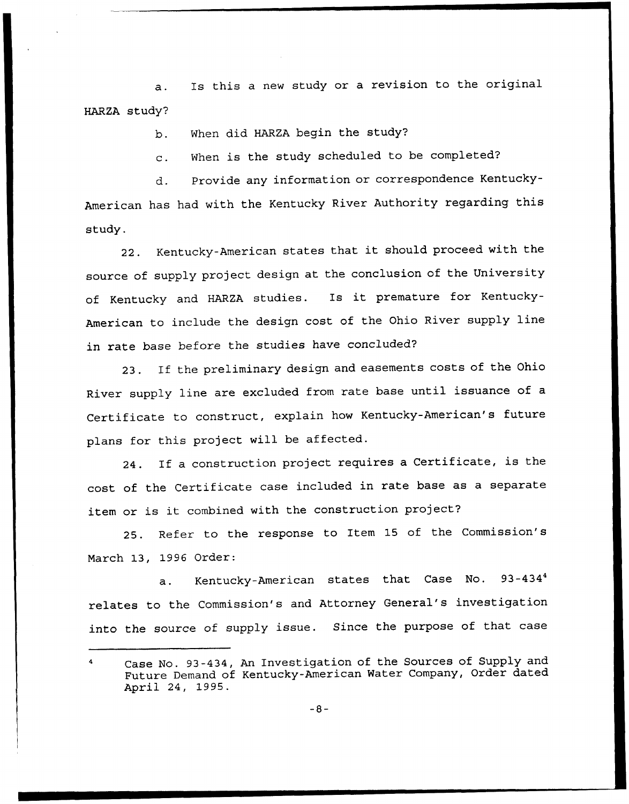a. Is this <sup>a</sup> new study or a revision to the original HARZA study?

b. When did HARZA begin the study?

c. When is the study scheduled to be completed'

d. Provide any information or correspondence Kentucky-American has had with the Kentucky River Authority regarding this study.

22. Kentucky-American states that it should proceed with the source of supply project design at the conclusion of the University of Kentucky and HARZA studies. Is it premature for Kentucky-American to include the design cost of the Ohio River supply line in rate base before the studies have concluded?

23. If the preliminary design and easements costs of the Ohio River supply line are excluded from rate base until issuance of <sup>a</sup> Certificate to construct, explain how Kentucky-American's future plans for this project will be affected.

24. If <sup>a</sup> construction project requires <sup>a</sup> Certificate, is the cost of the Certificate case included in rate base as a separate item or is it combined with the construction project?

25. Refer to the response to Item 15 of the Commission's March 13, 1996 Order:

a. Kentucky-American states that Case No.  $93 - 434^{4}$ relates to the Commission's and Attorney General's investigation into the source of supply issue. Since the purpose of that case

Case No. 93-434, An Investigation of the Sources of Supply and Future Demand of Kentucky-American Water Company, Order dated April 24, 1995.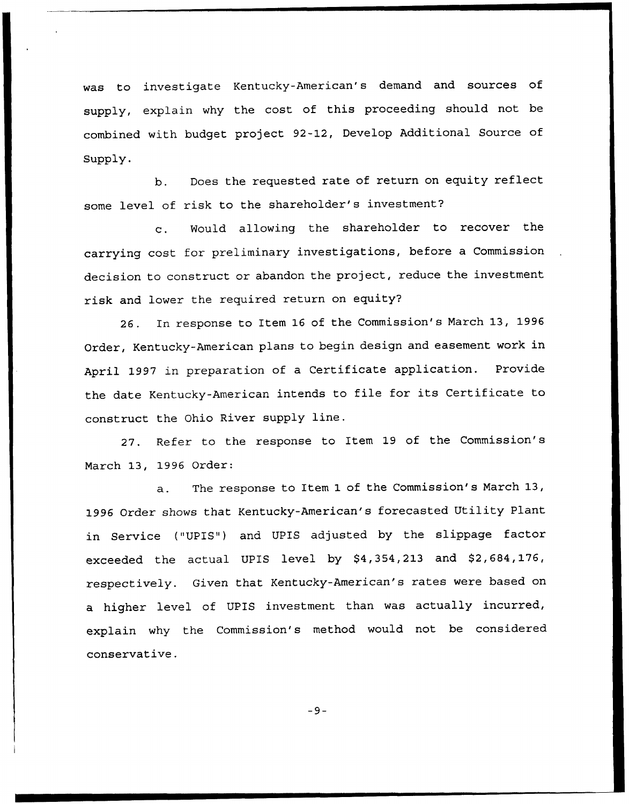was to investigate Kentucky-American's demand and sources of supply, explain why the cost of this proceeding should not be combined with budget project 92-12, Develop Additional Source of Supply.

b. Does the requested rate of return on equity reflect some level of risk to the shareholder's investment?

c. Would allowing the shareholder to recover the carrying cost for preliminary investigations, before a Commission decision to construct or abandon the project, reduce the investment risk and lower the required return on equity?

26. In response to Item 16 of the Commission's March 13, 1996 Order, Kentucky-American plans to begin design and easement work in April 1997 in preparation of a Certificate application. Provide the date Kentucky-American intends to file for its Certificate to construct the Ohio River supply line.

27. Refer to the response to Item 19 of the Commission's March 13, 1996 Order:

a. The response to Item 1 of the Commission's March 13, 1996 Order shows that Kentucky-American's forecasted Utility Plant in Service ("UPIS") and UPIS adjusted by the slippage factor exceeded the actual UPIS level by \$4,354,213 and \$2,684,176, respectively. Given that Kentucky-American's rates were based on a higher level of UPIS investment than was actually incurred, explain why the Commission's method would not be considered conservative.

 $-9-$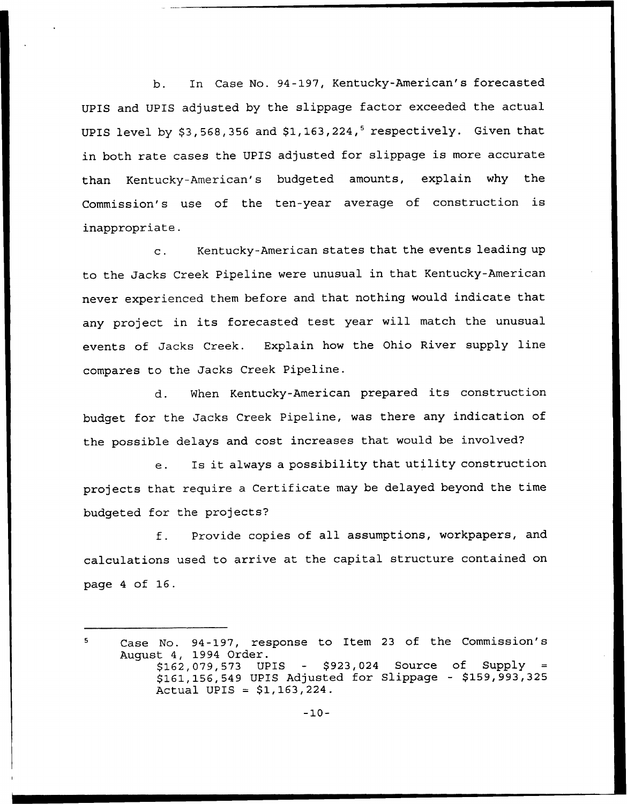b. In Case No. 94-197, Kentucky-American's forecasted UPIS and UPIS adjusted by the slippage factor exceeded the actual UPIS level by  $$3,568,356$  and  $$1,163,224$ ,<sup>5</sup> respectively. Given that in both rate cases the UPIS adjusted for slippage is more accurate than Kentucky-American's budgeted amounts, explain why the Commission's use of the ten-year average of construction is inappropriate.

c. Kentucky-American states that the events leading up to the Jacks Creek Pipeline were unusual in that Kentucky-American never experienced them before and that nothing would indicate that any project in its forecasted test year will match the unusual events of Jacks Creek. Explain how the Ohio River supply line compares to the Jacks Creek Pipeline.

d. When Kentucky-American prepared its construction budget for the Jacks Creek Pipeline, was there any indication of the possible delays and cost increases that would be involved?

e. Is it always <sup>a</sup> possibility that utility construction projects that require a Certificate may be delayed beyond the time budgeted for the projects?

f. Provide copies of all assumptions, workpapers, and calculations used to arrive at the capital structure contained on page <sup>4</sup> of 16.

Case No. 94-197, response to Item 23 of the Commission' 5 August 4, 1994 Order. \$ 162,079,573 UPIS — \$ 923,024 Source of Supply \$ 161,156,549 UPIS Adjusted for Slippage - \$159,993,325 Actual UPIS =  $$1,163,224$ .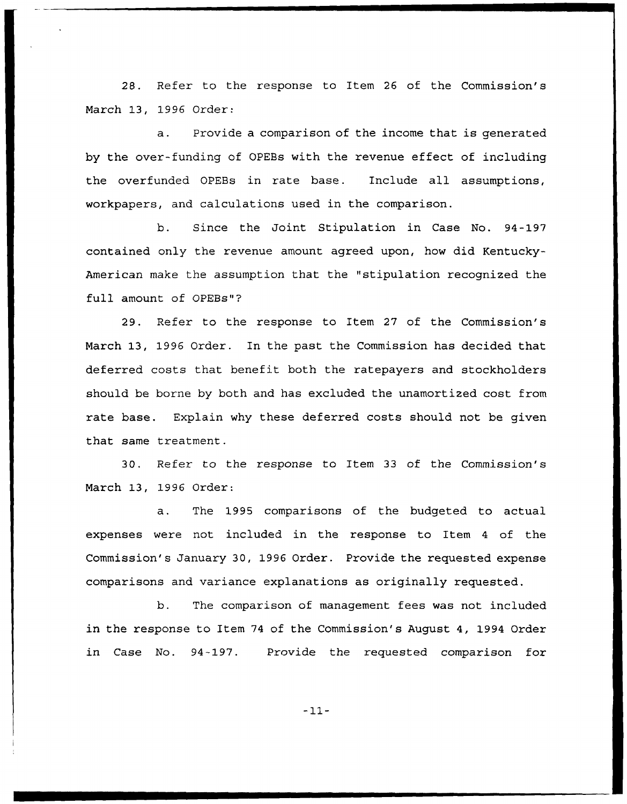28. Refer to the response to Item 26 of the Commission's March 13, 1996 Order:

a. Provide a comparison of the income that is generated by the over-funding of OPEBs with the revenue effect of including the overfunded OPEBs in rate base. Include all assumptions, workpapers, and calculations used in the comparison.

b. Since the Joint Stipulation in Case No. 94-197 contained only the revenue amount agreed upon, how did Kentucky-American make the assumption that the "stipulation recognized the full amount of OPEBs"'?

29. Refer to the response to Item 27 of the Commission's March 13, 1996 Order. In the past the Commission has decided that deferred costs that benefit both the ratepayers and stockholders should be borne by both and has excluded the unamortized cost from rate base. Explain why these deferred costs should not be given that same treatment.

30. Refer to the response to Item 33 of the Commission's March 13, 1996 Order:

a. The 1995 comparisons of the budgeted to actual expenses were not included in the response to Item <sup>4</sup> of the Commission's January 30, 1996 Order. Provide the requested expense comparisons and variance explanations as originally requested.

b. The comparison of management fees was not included in the response to Item 74 of the Commission's August 4, 1994 Order in Case No. 94-197. Provide the requested comparison for

-11-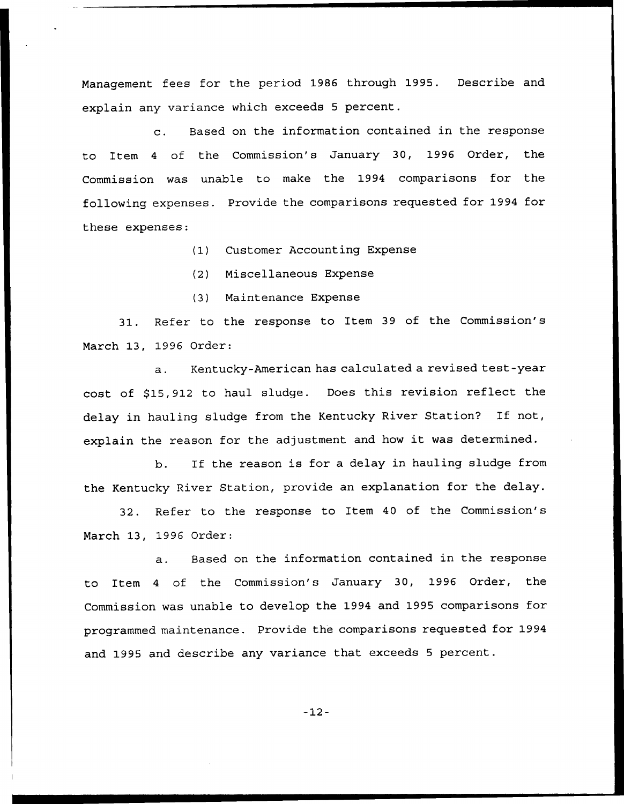Management fees for the period 1986 through 1995. Describe and explain any variance which exceeds <sup>5</sup> percent.

c. Based on the information contained in the response to Item 4 of the Commission's January 30, 1996 Order, the Commission was unable to make the 1994 comparisons for the following expenses. Provide the comparisons requested for 1994 for these expenses:

(1) Customer Accounting Expense

(2) Miscellaneous Expense

(3) Maintenance Expense

31. Refer to the response to Item 39 of the Commission's March 13, 1996 Order:

a. Kentucky-American has calculated a revised test-year cost of \$15,912 to haul sludge. Does this revision reflect the delay in hauling sludge from the Kentucky River Station? If not, explain the reason for the adjustment and how it was determined.

b. If the reason is for a delay in hauling sludge from the Kentucky River Station, provide an explanation for the delay.

32. Refer to the response to Item 40 of the Commission's March 13, 1996 Order:

a. Based on the information contained in the response to Item <sup>4</sup> of the Commission's January 30, 1996 Order, the Commission was unable to develop the 1994 and 1995 comparisons for programmed maintenance. Provide the comparisons requested for 1994 and 1995 and describe any variance that exceeds <sup>5</sup> percent.

 $-12-$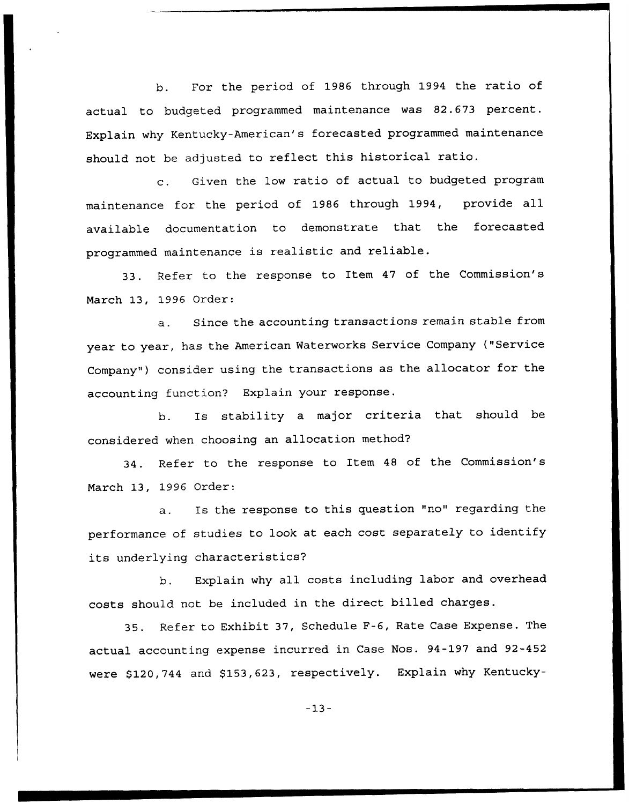b. For the period of 1986 through 1994 the ratio of actual to budgeted programmed maintenance was 82.673 percent. Explain why Kentucky-American's forecasted programmed maintenance should not be adjusted to reflect this historical ratio.

c. Given the low ratio of actual to budgeted program maintenance for the period of 1986 through 1994, provide all available documentation to demonstrate that the forecasted programmed maintenance is realistic and reliable.

33. Refer to the response to Item 47 of the Commission's March 13, 1996 Order:

a. Since the accounting transactions remain stable from year to year, has the American Waterworks Service Company {"Service Company") consider using the transactions as the allocator for the accounting function? Explain your response.

b. Is stability <sup>a</sup> major criteria that should be considered when choosing an allocation method?

34. Refer to the response to Item 48 of the Commission's March 13, 1996 Order:

a. Is the response to this question "no" regarding the performance of studies to look at each cost separately to identify its underlying characteristics?

b. Explain why all costs including labor and overhead costs should not be included in the direct billed charges.

35. Refer to Exhibit 37, Schedule F-6, Rate Case Expense. The actual accounting expense incurred in Case Nos. 94-197 and 92-452 were \$120,744 and \$153,623, respectively. Explain why Kentucky-

-13-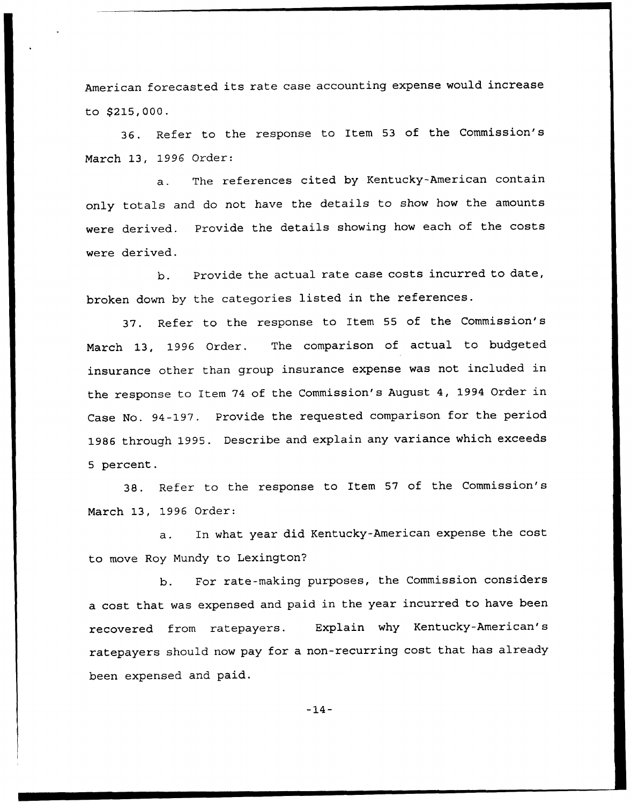American forecasted its rate case accounting expense would increase to \$215,000.

36. Refer to the response to Item <sup>53</sup> of the Commission's March 13, 1996 Order:

a. The references cited by Kentucky-American contain only totals and do not have the details to show how the amounts were derived. Provide the details showing how each of the costs were derived.

b. Provide the actual rate case costs incurred to date, broken down by the categories listed in the references.

37. Refer to the response to Item 55 of the Commission's March 13, 1996 Order. The comparison of actual to budgeted insurance other than group insurance expense was not included in the response to Item <sup>74</sup> of the Commission's August 4, 1994 Order in Case No. 94-197. Provide the requested comparison for the period 1986 through 1995. Describe and explain any variance which exceeds 5 percent.

38. Refer to the response to Item 57 of the Commission's March 13, 1996 Order:

a. In what year did Kentucky-American expense the cost to move Roy Mundy to Lexington'

b. For rate-making purposes, the Commission considers a cost that was expensed and paid in the year incurred to have been recovered from ratepayers. Explain why Kentucky-American's ratepayers should now pay for a non-recurring cost that has already been expensed and paid.

 $-14-$